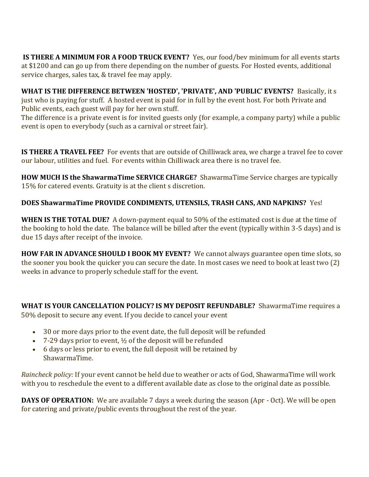**IS THERE A MINIMUM FOR A FOOD TRUCK EVENT?** Yes, our food/bev minimum for all events starts at \$1200 and can go up from there depending on the number of guests. For Hosted events, additional service charges, sales tax, & travel fee may apply.

**WHAT IS THE DIFFERENCE BETWEEN 'HOSTED', 'PRIVATE', AND 'PUBLIC' EVENTS?** Basically, it s just who is paying for stuff. A hosted event is paid for in full by the event host. For both Private and Public events, each guest will pay for her own stuff.

The difference is a private event is for invited guests only (for example, a company party) while a public event is open to everybody (such as a carnival or street fair).

**IS THERE A TRAVEL FEE?** For events that are outside of Chilliwack area, we charge a travel fee to cover our labour, utilities and fuel. For events within Chilliwack area there is no travel fee.

**HOW MUCH IS the ShawarmaTime SERVICE CHARGE?** ShawarmaTime Service charges are typically 15% for catered events. Gratuity is at the client s discretion.

## **DOES ShawarmaTime PROVIDE CONDIMENTS, UTENSILS, TRASH CANS, AND NAPKINS?** Yes!

**WHEN IS THE TOTAL DUE?** A down-payment equal to 50% of the estimated cost is due at the time of the booking to hold the date. The balance will be billed after the event (typically within 3-5 days) and is due 15 days after receipt of the invoice.

**HOW FAR IN ADVANCE SHOULD I BOOK MY EVENT?** We cannot always guarantee open time slots, so the sooner you book the quicker you can secure the date. In most cases we need to book at least two (2) weeks in advance to properly schedule staff for the event.

**WHAT IS YOUR CANCELLATION POLICY? IS MY DEPOSIT REFUNDABLE?** ShawarmaTime requires a 50% deposit to secure any event. If you decide to cancel your event

- 30 or more days prior to the event date, the full deposit will be refunded
- 7-29 days prior to event,  $\frac{1}{2}$  of the deposit will be refunded
- 6 days or less prior to event, the full deposit will be retained by ShawarmaTime.

*Raincheck policy:* If your event cannot be held due to weather or acts of God, ShawarmaTime will work with you to reschedule the event to a different available date as close to the original date as possible.

**DAYS OF OPERATION:** We are available 7 days a week during the season (Apr - Oct). We will be open for catering and private/public events throughout the rest of the year.